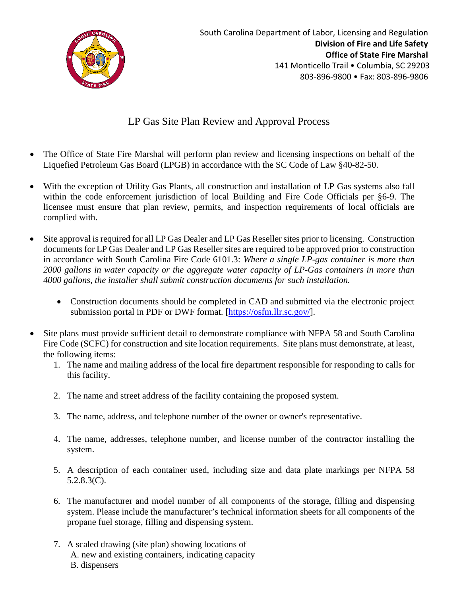

## LP Gas Site Plan Review and Approval Process

- The Office of State Fire Marshal will perform plan review and licensing inspections on behalf of the Liquefied Petroleum Gas Board (LPGB) in accordance with the SC Code of Law §40-82-50.
- With the exception of Utility Gas Plants, all construction and installation of LP Gas systems also fall within the code enforcement jurisdiction of local Building and Fire Code Officials per §6-9. The licensee must ensure that plan review, permits, and inspection requirements of local officials are complied with.
- Site approval is required for all LP Gas Dealer and LP Gas Reseller sites prior to licensing. Construction documents for LP Gas Dealer and LP Gas Reseller sites are required to be approved prior to construction in accordance with South Carolina Fire Code 6101.3: *Where a single LP-gas container is more than 2000 gallons in water capacity or the aggregate water capacity of LP-Gas containers in more than 4000 gallons, the installer shall submit construction documents for such installation.*
	- Construction documents should be completed in CAD and submitted via the electronic project submission portal in PDF or DWF format. [\[https://osfm.llr.sc.gov/\]](https://osfm.llr.sc.gov/).
- Site plans must provide sufficient detail to demonstrate compliance with NFPA 58 and South Carolina Fire Code (SCFC) for construction and site location requirements. Site plans must demonstrate, at least, the following items:
	- 1. The name and mailing address of the local fire department responsible for responding to calls for this facility.
	- 2. The name and street address of the facility containing the proposed system.
	- 3. The name, address, and telephone number of the owner or owner's representative.
	- 4. The name, addresses, telephone number, and license number of the contractor installing the system.
	- 5. A description of each container used, including size and data plate markings per NFPA 58 5.2.8.3(C).
	- 6. The manufacturer and model number of all components of the storage, filling and dispensing system. Please include the manufacturer's technical information sheets for all components of the propane fuel storage, filling and dispensing system.
	- 7. A scaled drawing (site plan) showing locations of A. new and existing containers, indicating capacity B. dispensers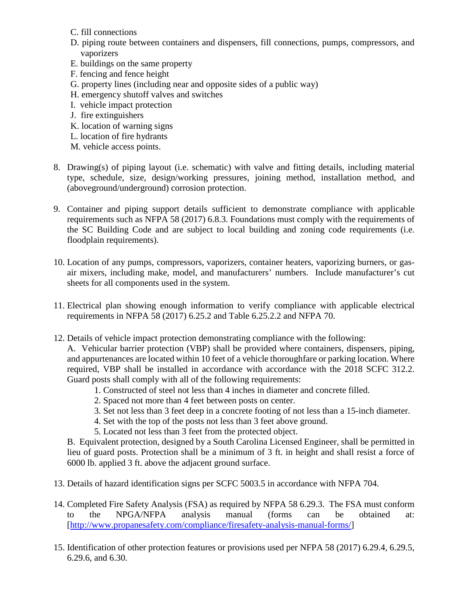- C. fill connections
- D. piping route between containers and dispensers, fill connections, pumps, compressors, and vaporizers
- E. buildings on the same property
- F. fencing and fence height
- G. property lines (including near and opposite sides of a public way)
- H. emergency shutoff valves and switches
- I. vehicle impact protection
- J. fire extinguishers
- K. location of warning signs
- L. location of fire hydrants
- M. vehicle access points.
- 8. Drawing(s) of piping layout (i.e. schematic) with valve and fitting details, including material type, schedule, size, design/working pressures, joining method, installation method, and (aboveground/underground) corrosion protection.
- 9. Container and piping support details sufficient to demonstrate compliance with applicable requirements such as NFPA 58 (2017) 6.8.3. Foundations must comply with the requirements of the SC Building Code and are subject to local building and zoning code requirements (i.e. floodplain requirements).
- 10. Location of any pumps, compressors, vaporizers, container heaters, vaporizing burners, or gasair mixers, including make, model, and manufacturers' numbers. Include manufacturer's cut sheets for all components used in the system.
- 11. Electrical plan showing enough information to verify compliance with applicable electrical requirements in NFPA 58 (2017) 6.25.2 and Table 6.25.2.2 and NFPA 70.
- 12. Details of vehicle impact protection demonstrating compliance with the following:

A. Vehicular barrier protection (VBP) shall be provided where containers, dispensers, piping, and appurtenances are located within 10 feet of a vehicle thoroughfare or parking location. Where required, VBP shall be installed in accordance with accordance with the 2018 SCFC 312.2. Guard posts shall comply with all of the following requirements:

- 1. Constructed of steel not less than 4 inches in diameter and concrete filled.
- 2. Spaced not more than 4 feet between posts on center.
- 3. Set not less than 3 feet deep in a concrete footing of not less than a 15-inch diameter.
- 4. Set with the top of the posts not less than 3 feet above ground.
- 5. Located not less than 3 feet from the protected object.

B. Equivalent protection, designed by a South Carolina Licensed Engineer, shall be permitted in lieu of guard posts. Protection shall be a minimum of 3 ft. in height and shall resist a force of 6000 lb. applied 3 ft. above the adjacent ground surface.

- 13. Details of hazard identification signs per SCFC 5003.5 in accordance with NFPA 704.
- 14. Completed Fire Safety Analysis (FSA) as required by NFPA 58 6.29.3. The FSA must conform to the NPGA/NFPA analysis manual (forms can be obtained at: [\[http://www.propanesafety.com/compliance/firesafety-analysis-manual-forms/\]](http://www.propanesafety.com/compliance/firesafety-analysis-manual-forms/)
- 15. Identification of other protection features or provisions used per NFPA 58 (2017) 6.29.4, 6.29.5, 6.29.6, and 6.30.